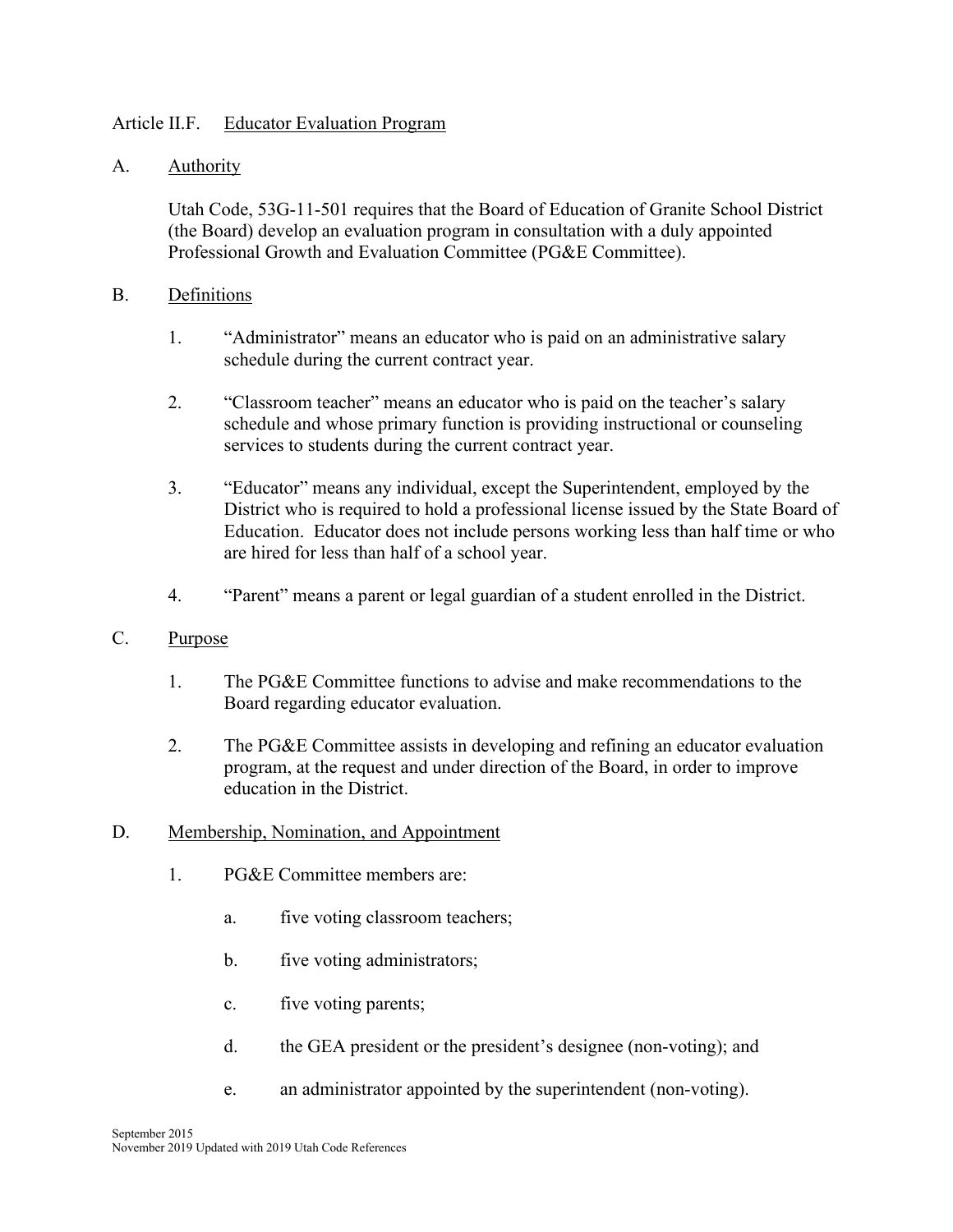### Article II.F. Educator Evaluation Program

### A. Authority

Utah Code, 53G-11-501 requires that the Board of Education of Granite School District (the Board) develop an evaluation program in consultation with a duly appointed Professional Growth and Evaluation Committee (PG&E Committee).

#### B. Definitions

- 1. "Administrator" means an educator who is paid on an administrative salary schedule during the current contract year.
- 2. "Classroom teacher" means an educator who is paid on the teacher's salary schedule and whose primary function is providing instructional or counseling services to students during the current contract year.
- 3. "Educator" means any individual, except the Superintendent, employed by the District who is required to hold a professional license issued by the State Board of Education. Educator does not include persons working less than half time or who are hired for less than half of a school year.
- 4. "Parent" means a parent or legal guardian of a student enrolled in the District.
- C. Purpose
	- 1. The PG&E Committee functions to advise and make recommendations to the Board regarding educator evaluation.
	- 2. The PG&E Committee assists in developing and refining an educator evaluation program, at the request and under direction of the Board, in order to improve education in the District.
- D. Membership, Nomination, and Appointment
	- 1. PG&E Committee members are:
		- a. five voting classroom teachers;
		- b. five voting administrators;
		- c. five voting parents;
		- d. the GEA president or the president's designee (non-voting); and
		- e. an administrator appointed by the superintendent (non-voting).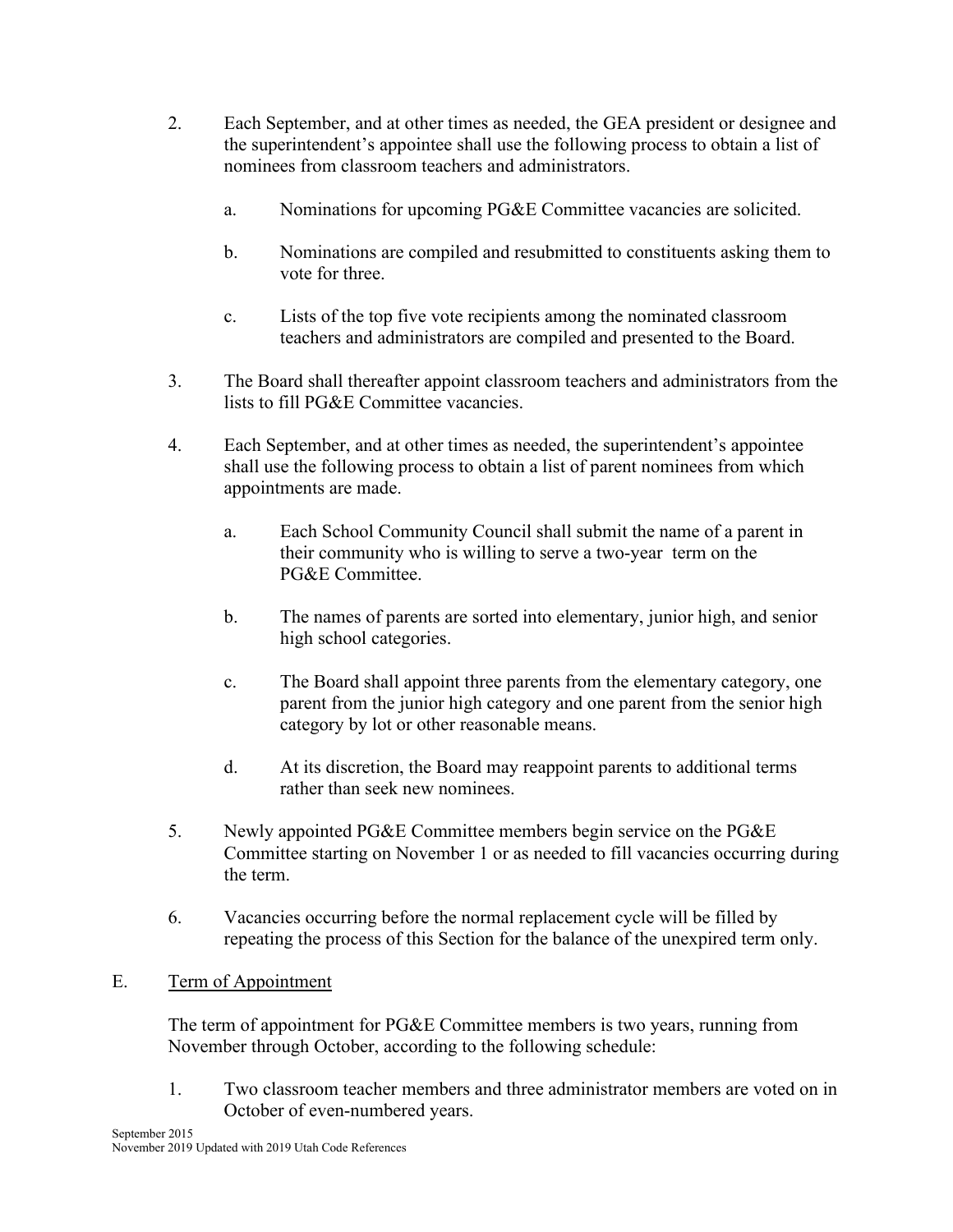- 2. Each September, and at other times as needed, the GEA president or designee and the superintendent's appointee shall use the following process to obtain a list of nominees from classroom teachers and administrators.
	- a. Nominations for upcoming PG&E Committee vacancies are solicited.
	- b. Nominations are compiled and resubmitted to constituents asking them to vote for three.
	- c. Lists of the top five vote recipients among the nominated classroom teachers and administrators are compiled and presented to the Board.
- 3. The Board shall thereafter appoint classroom teachers and administrators from the lists to fill PG&E Committee vacancies.
- 4. Each September, and at other times as needed, the superintendent's appointee shall use the following process to obtain a list of parent nominees from which appointments are made.
	- a. Each School Community Council shall submit the name of a parent in their community who is willing to serve a two-year term on the PG&E Committee.
	- b. The names of parents are sorted into elementary, junior high, and senior high school categories.
	- c. The Board shall appoint three parents from the elementary category, one parent from the junior high category and one parent from the senior high category by lot or other reasonable means.
	- d. At its discretion, the Board may reappoint parents to additional terms rather than seek new nominees.
- 5. Newly appointed PG&E Committee members begin service on the PG&E Committee starting on November 1 or as needed to fill vacancies occurring during the term.
- 6. Vacancies occurring before the normal replacement cycle will be filled by repeating the process of this Section for the balance of the unexpired term only.

## E. Term of Appointment

The term of appointment for PG&E Committee members is two years, running from November through October, according to the following schedule:

1. Two classroom teacher members and three administrator members are voted on in October of even-numbered years.